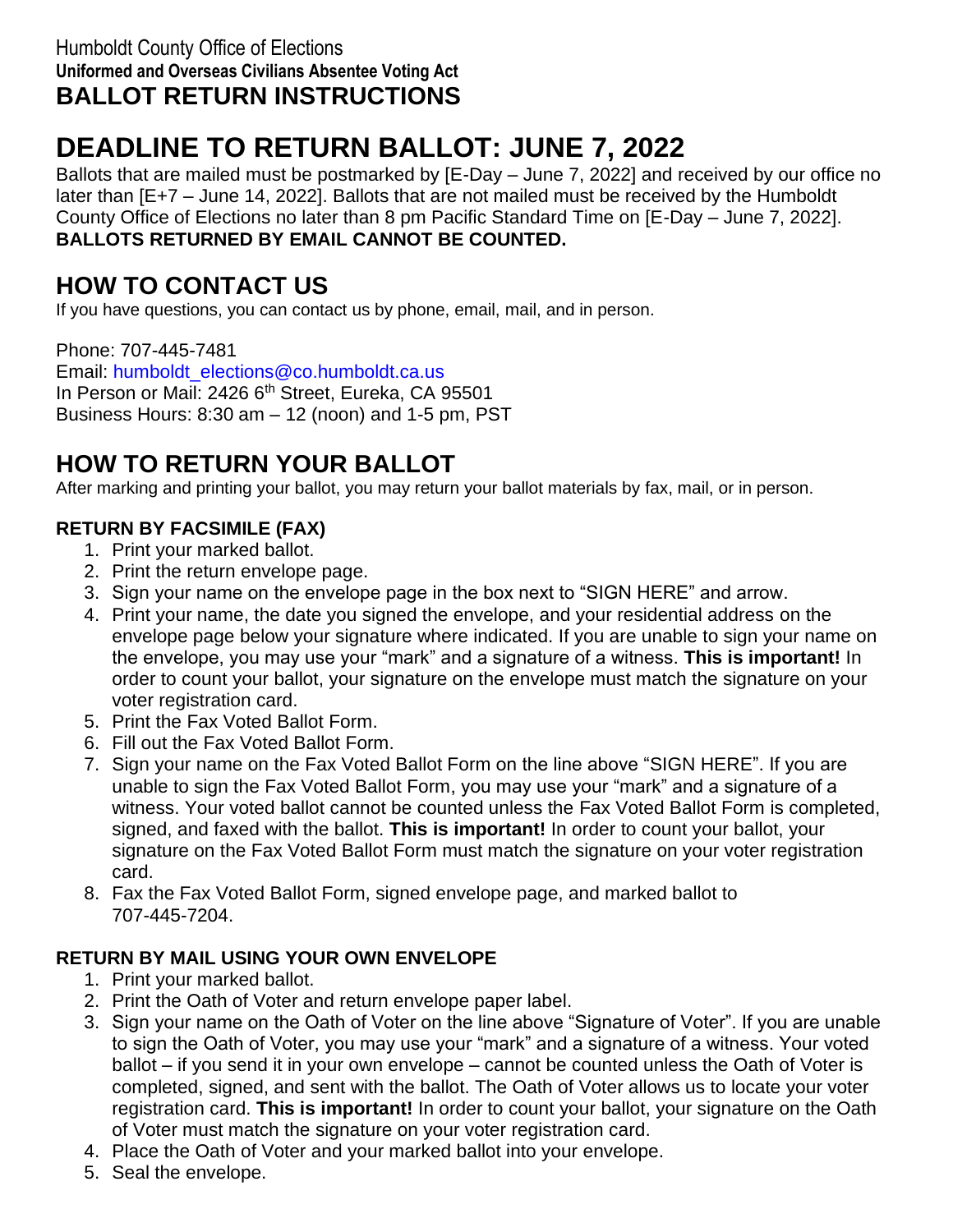#### Humboldt County Office of Elections **Uniformed and Overseas Civilians Absentee Voting Act BALLOT RETURN INSTRUCTIONS**

# **DEADLINE TO RETURN BALLOT: JUNE 7, 2022**

Ballots that are mailed must be postmarked by [E-Day – June 7, 2022] and received by our office no later than [E+7 – June 14, 2022]. Ballots that are not mailed must be received by the Humboldt County Office of Elections no later than 8 pm Pacific Standard Time on [E-Day – June 7, 2022]. **BALLOTS RETURNED BY EMAIL CANNOT BE COUNTED.**

# **HOW TO CONTACT US**

If you have questions, you can contact us by phone, email, mail, and in person.

Phone: 707-445-7481 Email: [humboldt\\_elections@co.humboldt.ca.us](mailto:humboldt_elections@co.humboldt.ca.us) In Person or Mail: 2426 6<sup>th</sup> Street, Eureka, CA 95501 Business Hours: 8:30 am – 12 (noon) and 1-5 pm, PST

# **HOW TO RETURN YOUR BALLOT**

After marking and printing your ballot, you may return your ballot materials by fax, mail, or in person.

### **RETURN BY FACSIMILE (FAX)**

- 1. Print your marked ballot.
- 2. Print the return envelope page.
- 3. Sign your name on the envelope page in the box next to "SIGN HERE" and arrow.
- 4. Print your name, the date you signed the envelope, and your residential address on the envelope page below your signature where indicated. If you are unable to sign your name on the envelope, you may use your "mark" and a signature of a witness. **This is important!** In order to count your ballot, your signature on the envelope must match the signature on your voter registration card.
- 5. Print the Fax Voted Ballot Form.
- 6. Fill out the Fax Voted Ballot Form.
- 7. Sign your name on the Fax Voted Ballot Form on the line above "SIGN HERE". If you are unable to sign the Fax Voted Ballot Form, you may use your "mark" and a signature of a witness. Your voted ballot cannot be counted unless the Fax Voted Ballot Form is completed, signed, and faxed with the ballot. **This is important!** In order to count your ballot, your signature on the Fax Voted Ballot Form must match the signature on your voter registration card.
- 8. Fax the Fax Voted Ballot Form, signed envelope page, and marked ballot to 707-445-7204.

### **RETURN BY MAIL USING YOUR OWN ENVELOPE**

- 1. Print your marked ballot.
- 2. Print the Oath of Voter and return envelope paper label.
- 3. Sign your name on the Oath of Voter on the line above "Signature of Voter". If you are unable to sign the Oath of Voter, you may use your "mark" and a signature of a witness. Your voted ballot – if you send it in your own envelope – cannot be counted unless the Oath of Voter is completed, signed, and sent with the ballot. The Oath of Voter allows us to locate your voter registration card. **This is important!** In order to count your ballot, your signature on the Oath of Voter must match the signature on your voter registration card.
- 4. Place the Oath of Voter and your marked ballot into your envelope.
- 5. Seal the envelope.